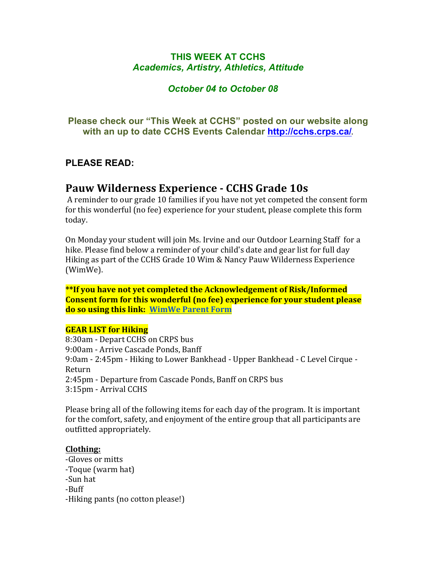# **THIS WEEK AT CCHS** *Academics, Artistry, Athletics, Attitude*

# *October 04 to October 08*

**Please check our "This Week at CCHS" posted on our website along with an up to date CCHS Events Calendar<http://cchs.crps.ca/>**.

## **PLEASE READ:**

# **Pauw Wilderness Experience - CCHS Grade 10s**

A reminder to our grade 10 families if you have not vet competed the consent form for this wonderful (no fee) experience for your student, please complete this form today.

On Monday your student will join Ms. Irvine and our Outdoor Learning Staff for a hike. Please find below a reminder of your child's date and gear list for full day Hiking as part of the CCHS Grade 10 Wim & Nancy Pauw Wilderness Experience (WimWe).

**\*\*If you have not yet completed the Acknowledgement of Risk/Informed Consent form for this wonderful (no fee) experience for your student please do so using this link: WimWe Parent Form** 

## **GEAR LIST for Hiking**

8:30am - Depart CCHS on CRPS bus 9:00am - Arrive Cascade Ponds, Banff 9:0am - 2:45pm - Hiking to Lower Bankhead - Upper Bankhead - C Level Cirque -Return 2:45pm - Departure from Cascade Ponds, Banff on CRPS bus 3:15pm - Arrival CCHS

Please bring all of the following items for each day of the program. It is important for the comfort, safety, and enjoyment of the entire group that all participants are outfitted appropriately.

## **Clothing:**

-Gloves or mitts -Toque (warm hat) -Sun hat -Buff -Hiking pants (no cotton please!)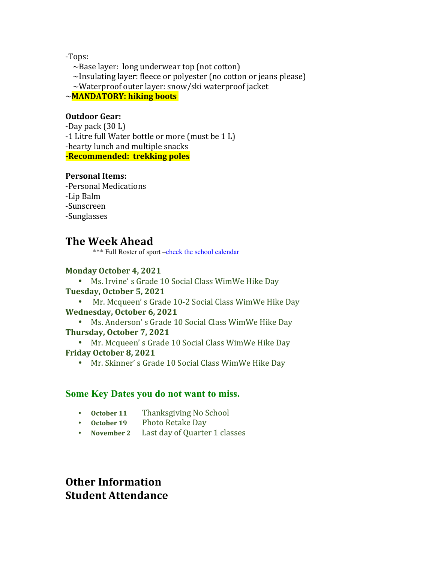-Tops:

 $\sim$ Base layer: long underwear top (not cotton)  $\sim$ Insulating layer: fleece or polyester (no cotton or jeans please)  $\sim$ Waterproof outer layer: snow/ski waterproof jacket ~**MANDATORY: hiking boots**

## **Outdoor Gear:**

-Day pack  $(30 L)$  $-1$  Litre full Water bottle or more (must be  $1$  L) -hearty lunch and multiple snacks **-Recommended: trekking poles** 

## **Personal Items:**

-Personal Medications -Lip Balm -Sunscreen -Sunglasses

# **The Week Ahead**

\*\*\* Full Roster of sport [–check the school calendar](https://cchs.crps.ca/calendar)

## **Monday October 4, 2021**

• Ms. Irvine's Grade 10 Social Class WimWe Hike Day

## **Tuesday, October 5, 2021**

• Mr. Mcqueen's Grade 10-2 Social Class WimWe Hike Day **Wednesday, October 6, 2021**

• Ms. Anderson's Grade 10 Social Class WimWe Hike Day **Thursday, October 7, 2021**

• Mr. Mcqueen's Grade 10 Social Class WimWe Hike Day **Friday October 8, 2021**

• Mr. Skinner's Grade 10 Social Class WimWe Hike Day

## **Some Key Dates you do not want to miss.**

- October 11 Thanksgiving No School
- October 19 Photo Retake Day
- November 2 Last day of Quarter 1 classes

# **Other Information Student Attendance**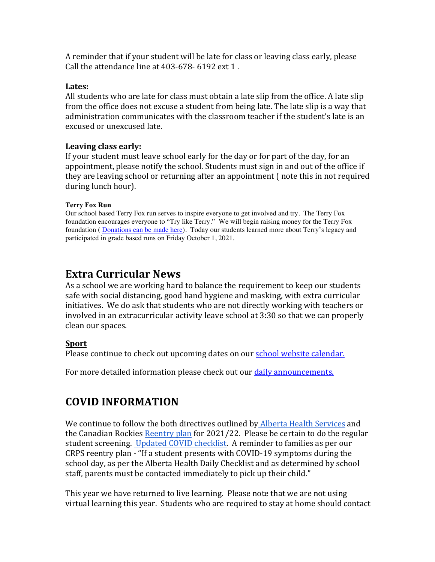A reminder that if your student will be late for class or leaving class early, please Call the attendance line at  $403-678-6192$  ext  $1$ .

#### **Lates:**

All students who are late for class must obtain a late slip from the office. A late slip from the office does not excuse a student from being late. The late slip is a way that administration communicates with the classroom teacher if the student's late is an excused or unexcused late.

## Leaving class early:

If your student must leave school early for the day or for part of the day, for an appointment, please notify the school. Students must sign in and out of the office if they are leaving school or returning after an appointment  $\int$  note this in not required during lunch hour).

#### **Terry Fox Run**

Our school based Terry Fox run serves to inspire everyone to get involved and try. The Terry Fox foundation encourages everyone to "Try like Terry." We will begin raising money for the Terry Fox foundation ( [Donations can be made here](https://secure.terryfox.ca/registrant/TeamFundraisingPage.aspx?TeamID=951685)). Today our students learned more about Terry's legacy and participated in grade based runs on Friday October 1, 2021.

# **Extra Curricular News**

As a school we are working hard to balance the requirement to keep our students safe with social distancing, good hand hygiene and masking, with extra curricular initiatives. We do ask that students who are not directly working with teachers or involved in an extracurricular activity leave school at 3:30 so that we can properly clean our spaces.

## **Sport**

Please continue to check out upcoming dates on our **school website** calendar.

For more detailed information please check out our daily announcements.

# **COVID INFORMATION**

We continue to follow the both directives outlined by Alberta Health Services and the Canadian Rockies Reentry plan for  $2021/22$ . Please be certain to do the regular student screening. Updated COVID checklist. A reminder to families as per our CRPS reentry plan - "If a student presents with COVID-19 symptoms during the school day, as per the Alberta Health Daily Checklist and as determined by school staff, parents must be contacted immediately to pick up their child."

This year we have returned to live learning. Please note that we are not using virtual learning this year. Students who are required to stay at home should contact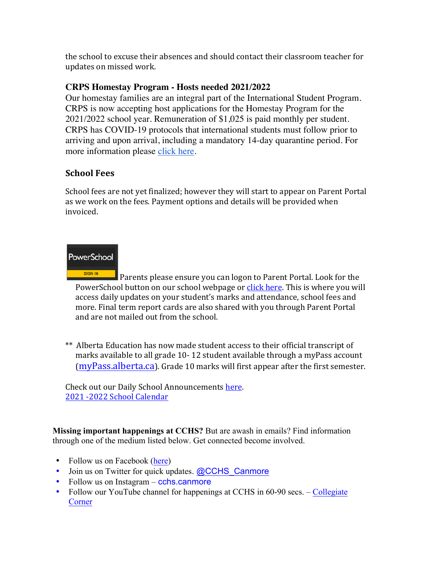the school to excuse their absences and should contact their classroom teacher for updates on missed work.

# **CRPS Homestay Program - Hosts needed 2021/2022**

Our homestay families are an integral part of the International Student Program. CRPS is now accepting host applications for the Homestay Program for the 2021/2022 school year. Remuneration of \$1,025 is paid monthly per student. CRPS has COVID-19 protocols that international students must follow prior to arriving and upon arrival, including a mandatory 14-day quarantine period. For more information please [click here](https://crps.ca/Homestay Program.php).

# **School Fees**

School fees are not yet finalized; however they will start to appear on Parent Portal as we work on the fees. Payment options and details will be provided when invoiced.

# **PowerSchool**

SIGN IN Parents please ensure you can logon to Parent Portal. Look for the PowerSchool button on our school webpage or click here. This is where you will access daily updates on your student's marks and attendance, school fees and more. Final term report cards are also shared with you through Parent Portal and are not mailed out from the school.

\*\* Alberta Education has now made student access to their official transcript of marks available to all grade 10-12 student available through a myPass account  $(mvPass.alberta.ca)$ . Grade 10 marks will first appear after the first semester.

Check out our Daily School Announcements here. 2021 -2022 School Calendar

**Missing important happenings at CCHS?** But are awash in emails? Find information through one of the medium listed below. Get connected become involved.

- Follow us on Facebook ([here](https://www.facebook.com/cchscanmore/))
- Join us on Twitter for quick updates. [@CCHS\\_Canmore](https://twitter.com/CCHS_Canmore)
- Follow us on Instagram cchs.canmore
- Follow our YouTube channel for happenings at CCHS in 60-90 secs. [Collegiate](http://cchs.crps.ca/view.php?action=object&id=4103&stream=Announcements) **[Corner](http://cchs.crps.ca/view.php?action=object&id=4103&stream=Announcements)**